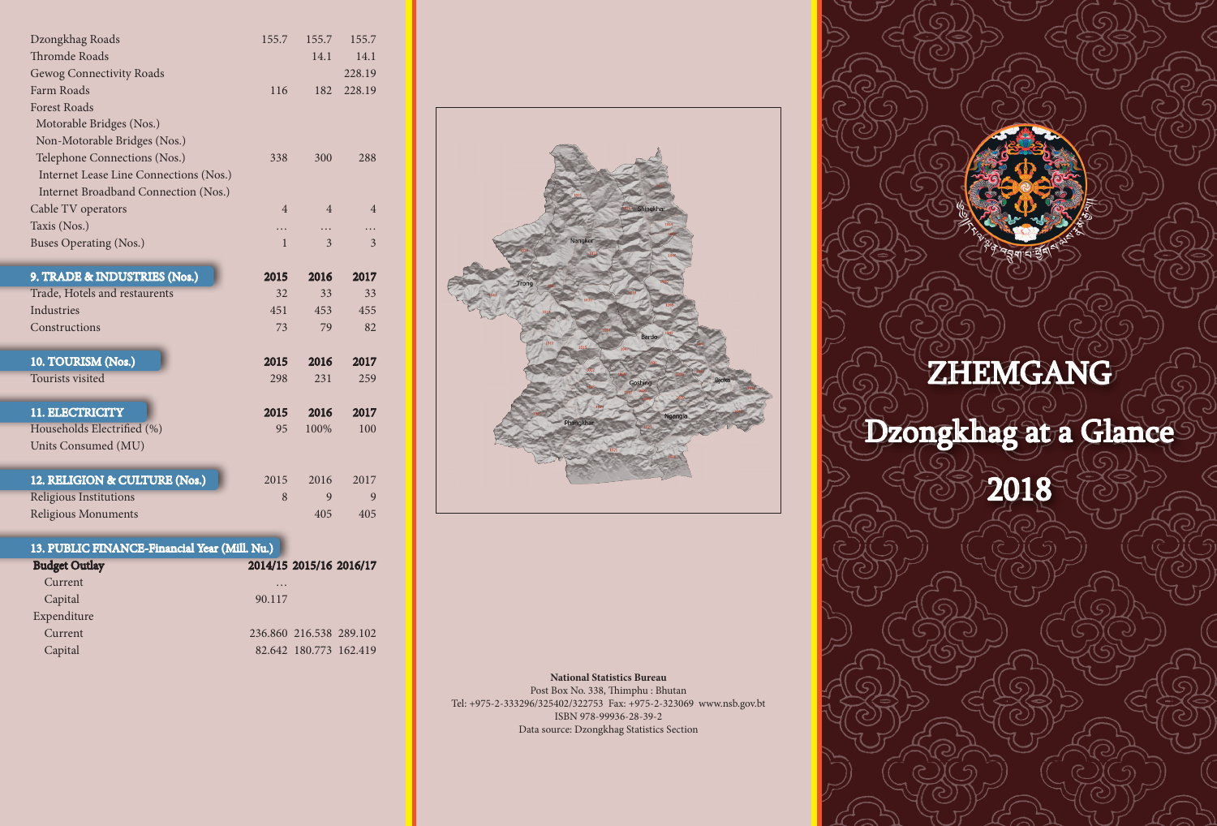| Dzongkhag Roads                        | 155.7          | 155.7          | 155.7          |  |
|----------------------------------------|----------------|----------------|----------------|--|
| <b>Thromde Roads</b>                   |                | 14.1           | 14.1           |  |
| Gewog Connectivity Roads               |                |                | 228.19         |  |
| Farm Roads                             | 116            | 182            | 228.19         |  |
| <b>Forest Roads</b>                    |                |                |                |  |
| Motorable Bridges (Nos.)               |                |                |                |  |
| Non-Motorable Bridges (Nos.)           |                |                |                |  |
| Telephone Connections (Nos.)           | 338            | 300            | 288            |  |
| Internet Lease Line Connections (Nos.) |                |                |                |  |
| Internet Broadband Connection (Nos.)   |                |                |                |  |
| Cable TV operators                     | $\overline{4}$ | $\overline{4}$ | $\overline{4}$ |  |
| Taxis (Nos.)                           | .              | .              |                |  |
| Buses Operating (Nos.)                 | $\mathbf{1}$   | 3              | 3              |  |
|                                        |                |                |                |  |
| 9. TRADE & INDUSTRIES (Nos.)           | 2015           | 2016           | 2017           |  |
| Trade, Hotels and restaurents          | 32             | 33             | 33             |  |
| Industries                             | 451            | 453            | 455            |  |
| Constructions                          | 73             | 79             | 82             |  |
|                                        |                |                |                |  |
| 10. TOURISM (Nos.)                     | 2015           | 2016           | 2017           |  |
| Tourists visited                       | 298            | 231            | 259            |  |
|                                        |                |                |                |  |
| 11. ELECTRICITY                        | 2015           | 2016           | 2017           |  |
| Households Electrified (%)             | 95             | 100%           | 100            |  |
| Units Consumed (MU)                    |                |                |                |  |
|                                        |                |                |                |  |
| 12. RELIGION & CULTURE (Nos.)          | 2015           | 2016           | 2017           |  |
| Religious Institutions                 | 8              | 9              | 9              |  |
| <b>Religious Monuments</b>             |                | 405            | 405            |  |

## 13. PUBLIC FINANCE-Financial Year (Mill. Nu.)

| <b>Budget Outlay</b> |          | 2014/15 2015/16 2016/17 |  |
|----------------------|----------|-------------------------|--|
| Current              | $\cdots$ |                         |  |
| Capital              | 90.117   |                         |  |
| Expenditure          |          |                         |  |
| Current              |          | 236.860 216.538 289.102 |  |
| Capital              |          | 82.642 180.773 162.419  |  |



## **National Statistics Bureau**

Post Box No. 338, Thimphu : Bhutan Tel: +975-2-333296/325402/322753 Fax: +975-2-323069 www.nsb.gov.bt ISBN 978-99936-28-39-2 Data source: Dzongkhag Statistics Section

## ZHEMGANG

Dzongkhag at a Glance

2018